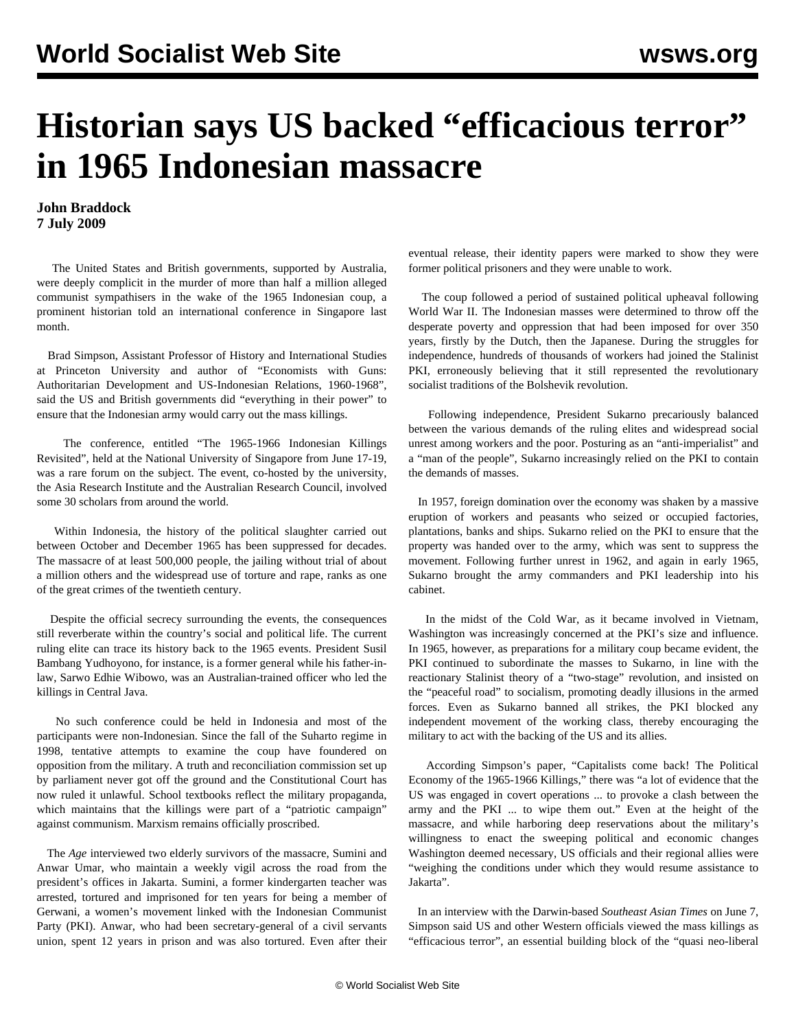## **Historian says US backed "efficacious terror" in 1965 Indonesian massacre**

**John Braddock 7 July 2009**

 The United States and British governments, supported by Australia, were deeply complicit in the murder of more than half a million alleged communist sympathisers in the wake of the 1965 Indonesian coup, a prominent historian told an international conference in Singapore last month.

 Brad Simpson, Assistant Professor of History and International Studies at Princeton University and author of "Economists with Guns: Authoritarian Development and US-Indonesian Relations, 1960-1968", said the US and British governments did "everything in their power" to ensure that the Indonesian army would carry out the mass killings.

 The conference, entitled "The 1965-1966 Indonesian Killings Revisited", held at the National University of Singapore from June 17-19, was a rare forum on the subject. The event, co-hosted by the university, the Asia Research Institute and the Australian Research Council, involved some 30 scholars from around the world.

 Within Indonesia, the history of the political slaughter carried out between October and December 1965 has been suppressed for decades. The massacre of at least 500,000 people, the jailing without trial of about a million others and the widespread use of torture and rape, ranks as one of the great crimes of the twentieth century.

 Despite the official secrecy surrounding the events, the consequences still reverberate within the country's social and political life. The current ruling elite can trace its history back to the 1965 events. President Susil Bambang Yudhoyono, for instance, is a former general while his father-inlaw, Sarwo Edhie Wibowo, was an Australian-trained officer who led the killings in Central Java.

 No such conference could be held in Indonesia and most of the participants were non-Indonesian. Since the fall of the Suharto regime in 1998, tentative attempts to examine the coup have foundered on opposition from the military. A truth and reconciliation commission set up by parliament never got off the ground and the Constitutional Court has now ruled it unlawful. School textbooks reflect the military propaganda, which maintains that the killings were part of a "patriotic campaign" against communism. Marxism remains officially proscribed.

 The *Age* interviewed two elderly survivors of the massacre, Sumini and Anwar Umar, who maintain a weekly vigil across the road from the president's offices in Jakarta. Sumini, a former kindergarten teacher was arrested, tortured and imprisoned for ten years for being a member of Gerwani, a women's movement linked with the Indonesian Communist Party (PKI). Anwar, who had been secretary-general of a civil servants union, spent 12 years in prison and was also tortured. Even after their eventual release, their identity papers were marked to show they were former political prisoners and they were unable to work.

 The coup followed a period of sustained political upheaval following World War II. The Indonesian masses were determined to throw off the desperate poverty and oppression that had been imposed for over 350 years, firstly by the Dutch, then the Japanese. During the struggles for independence, hundreds of thousands of workers had joined the Stalinist PKI, erroneously believing that it still represented the revolutionary socialist traditions of the Bolshevik revolution.

 Following independence, President Sukarno precariously balanced between the various demands of the ruling elites and widespread social unrest among workers and the poor. Posturing as an "anti-imperialist" and a "man of the people", Sukarno increasingly relied on the PKI to contain the demands of masses.

 In 1957, foreign domination over the economy was shaken by a massive eruption of workers and peasants who seized or occupied factories, plantations, banks and ships. Sukarno relied on the PKI to ensure that the property was handed over to the army, which was sent to suppress the movement. Following further unrest in 1962, and again in early 1965, Sukarno brought the army commanders and PKI leadership into his cabinet.

 In the midst of the Cold War, as it became involved in Vietnam, Washington was increasingly concerned at the PKI's size and influence. In 1965, however, as preparations for a military coup became evident, the PKI continued to subordinate the masses to Sukarno, in line with the reactionary Stalinist theory of a "two-stage" revolution, and insisted on the "peaceful road" to socialism, promoting deadly illusions in the armed forces. Even as Sukarno banned all strikes, the PKI blocked any independent movement of the working class, thereby encouraging the military to act with the backing of the US and its allies.

 According Simpson's paper, "Capitalists come back! The Political Economy of the 1965-1966 Killings," there was "a lot of evidence that the US was engaged in covert operations ... to provoke a clash between the army and the PKI ... to wipe them out." Even at the height of the massacre, and while harboring deep reservations about the military's willingness to enact the sweeping political and economic changes Washington deemed necessary, US officials and their regional allies were "weighing the conditions under which they would resume assistance to Jakarta".

 In an interview with the Darwin-based *Southeast Asian Times* on June 7, Simpson said US and other Western officials viewed the mass killings as "efficacious terror", an essential building block of the "quasi neo-liberal